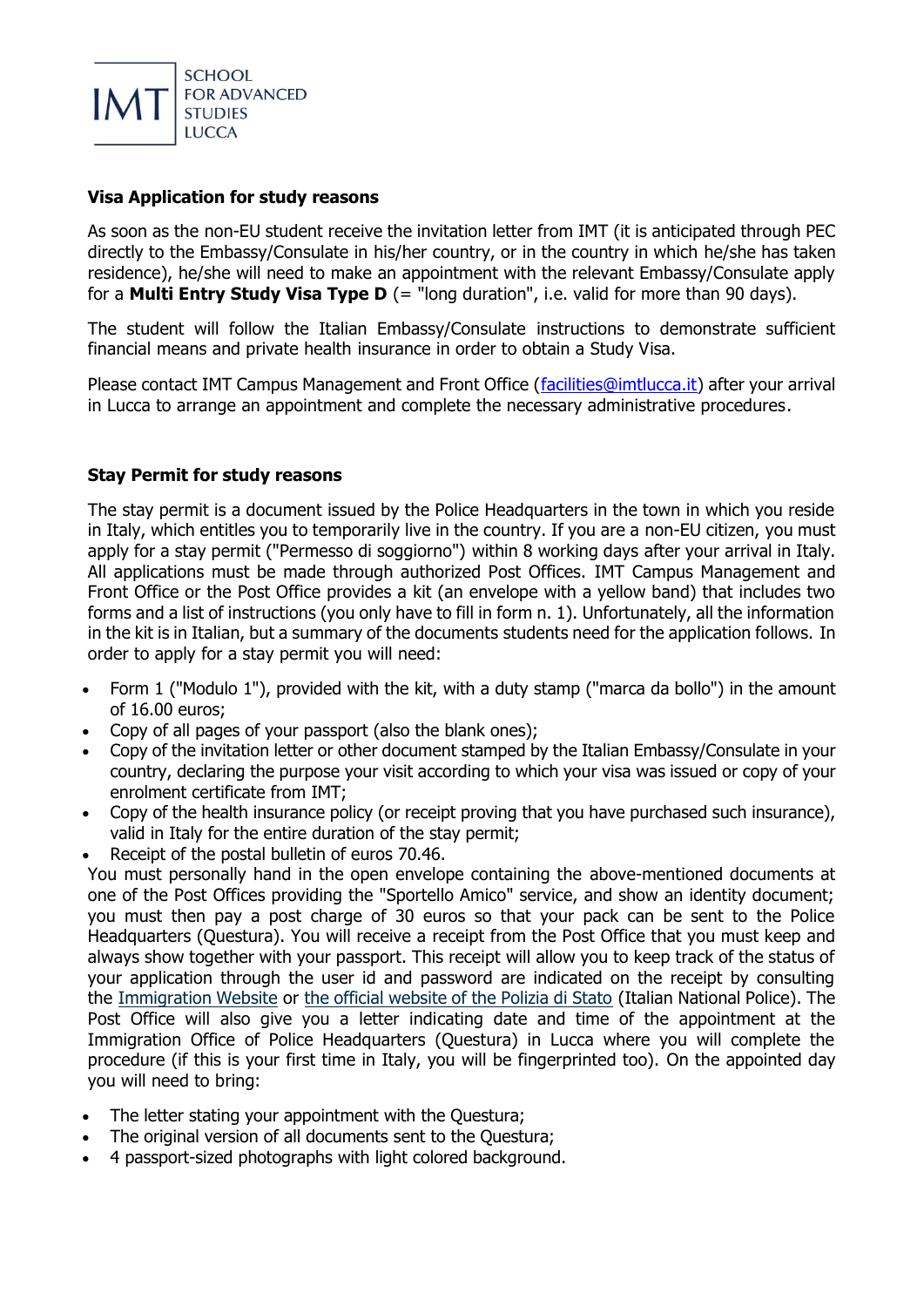

## **Visa Application for study reasons**

As soon as the non-EU student receive the invitation letter from IMT (it is anticipated through PEC directly to the Embassy/Consulate in his/her country, or in the country in which he/she has taken residence), he/she will need to make an appointment with the relevant Embassy/Consulate apply for a **Multi Entry Study Visa Type D** (= "long duration", i.e. valid for more than 90 days).

The student will follow the Italian Embassy/Consulate instructions to demonstrate sufficient financial means and private health insurance in order to obtain a Study Visa.

Please contact IMT Campus Management and Front Office [\(facilities@imtlucca.it\)](facilities@imtlucca.it) after your arrival in Lucca to arrange an appointment and complete the necessary administrative procedures.

### **Stay Permit for study reasons**

The stay permit is a document issued by the Police Headquarters in the town in which you reside in Italy, which entitles you to temporarily live in the country. If you are a non-EU citizen, you must apply for a stay permit ("Permesso di soggiorno") within 8 working days after your arrival in Italy. All applications must be made through authorized Post Offices. IMT Campus Management and Front Office or the Post Office provides a kit (an envelope with a yellow band) that includes two forms and a list of instructions (you only have to fill in form n. 1). Unfortunately, all the information in the kit is in Italian, but a summary of the documents students need for the application follows. In order to apply for a stay permit you will need:

- Form 1 ("Modulo 1"), provided with the kit, with a duty stamp ("marca da bollo") in the amount of 16.00 euros;
- Copy of all pages of your passport (also the blank ones);
- Copy of the invitation letter or other document stamped by the Italian Embassy/Consulate in your country, declaring the purpose your visit according to which your visa was issued or copy of your enrolment certificate from IMT;
- Copy of the health insurance policy (or receipt proving that you have purchased such insurance), valid in Italy for the entire duration of the stay permit;
- Receipt of the postal bulletin of euros 70.46.

You must personally hand in the open envelope containing the above-mentioned documents at one of the Post Offices providing the "Sportello Amico" service, and show an identity document; you must then pay a post charge of 30 euros so that your pack can be sent to the Police Headquarters (Questura). You will receive a receipt from the Post Office that you must keep and always show together with your passport. This receipt will allow you to keep track of the status of your application through the user id and password are indicated on the receipt by consulting the [Immigration Website](http://www.portaleimmigrazione.it/) or [the official website of the Polizia di Stato](http://www.poliziadistato.it/articolo/10619-English) (Italian National Police). The Post Office will also give you a letter indicating date and time of the appointment at the Immigration Office of Police Headquarters (Questura) in Lucca where you will complete the procedure (if this is your first time in Italy, you will be fingerprinted too). On the appointed day you will need to bring:

- The letter stating your appointment with the Questura;
- The original version of all documents sent to the Questura;
- 4 passport-sized photographs with light colored background.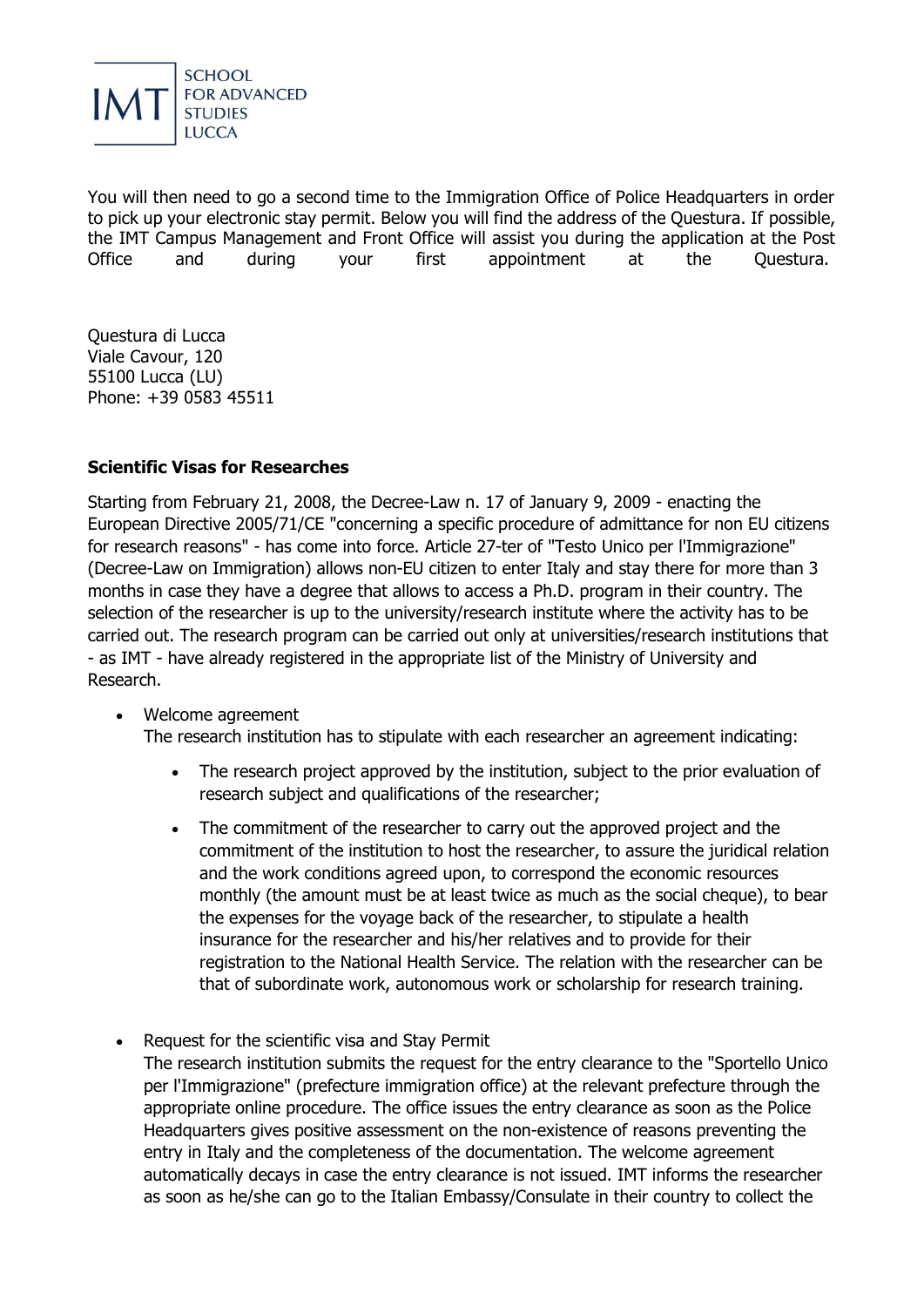

You will then need to go a second time to the Immigration Office of Police Headquarters in order to pick up your electronic stay permit. Below you will find the address of the Questura. If possible, the IMT Campus Management and Front Office will assist you during the application at the Post Office and during your first appointment at the Questura.

Questura di Lucca Viale Cavour, 120 55100 Lucca (LU) Phone: +39 0583 45511

### **Scientific Visas for Researches**

Starting from February 21, 2008, the Decree-Law n. 17 of January 9, 2009 - enacting the European Directive 2005/71/CE "concerning a specific procedure of admittance for non EU citizens for research reasons" - has come into force. Article 27-ter of "Testo Unico per l'Immigrazione" (Decree-Law on Immigration) allows non-EU citizen to enter Italy and stay there for more than 3 months in case they have a degree that allows to access a Ph.D. program in their country. The selection of the researcher is up to the university/research institute where the activity has to be carried out. The research program can be carried out only at universities/research institutions that - as IMT - have already registered in the appropriate list of the Ministry of University and Research.

- Welcome agreement The research institution has to stipulate with each researcher an agreement indicating:
	- The research project approved by the institution, subject to the prior evaluation of research subject and qualifications of the researcher;
	- The commitment of the researcher to carry out the approved project and the commitment of the institution to host the researcher, to assure the juridical relation and the work conditions agreed upon, to correspond the economic resources monthly (the amount must be at least twice as much as the social cheque), to bear the expenses for the voyage back of the researcher, to stipulate a health insurance for the researcher and his/her relatives and to provide for their registration to the National Health Service. The relation with the researcher can be that of subordinate work, autonomous work or scholarship for research training.
- Request for the scientific visa and Stay Permit The research institution submits the request for the entry clearance to the "Sportello Unico per l'Immigrazione" (prefecture immigration office) at the relevant prefecture through the appropriate online procedure. The office issues the entry clearance as soon as the Police Headquarters gives positive assessment on the non-existence of reasons preventing the entry in Italy and the completeness of the documentation. The welcome agreement automatically decays in case the entry clearance is not issued. IMT informs the researcher as soon as he/she can go to the Italian Embassy/Consulate in their country to collect the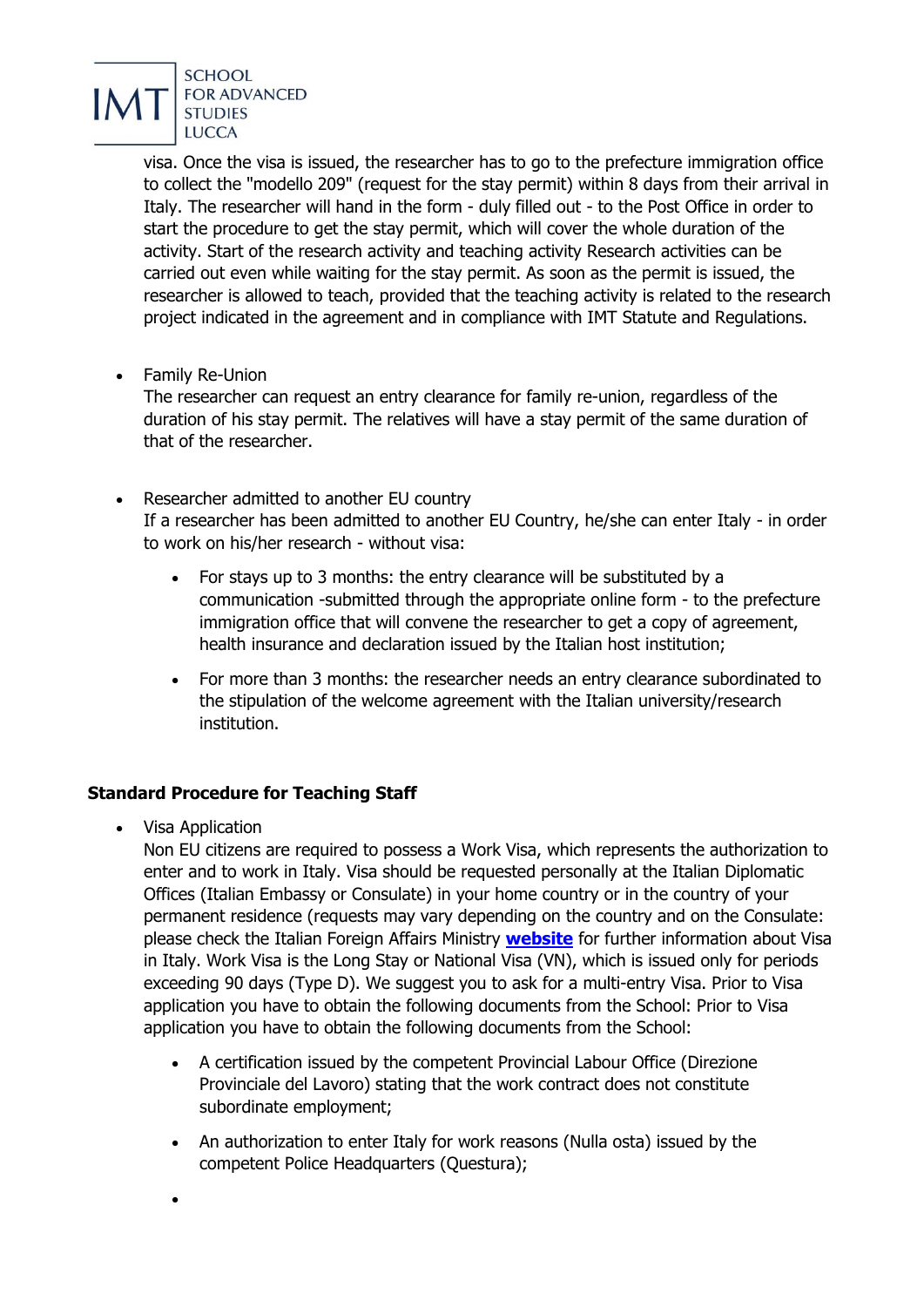

visa. Once the visa is issued, the researcher has to go to the prefecture immigration office to collect the "modello 209" (request for the stay permit) within 8 days from their arrival in Italy. The researcher will hand in the form - duly filled out - to the Post Office in order to start the procedure to get the stay permit, which will cover the whole duration of the activity. Start of the research activity and teaching activity Research activities can be carried out even while waiting for the stay permit. As soon as the permit is issued, the researcher is allowed to teach, provided that the teaching activity is related to the research project indicated in the agreement and in compliance with IMT Statute and Regulations.

Family Re-Union

The researcher can request an entry clearance for family re-union, regardless of the duration of his stay permit. The relatives will have a stay permit of the same duration of that of the researcher.

- Researcher admitted to another EU country If a researcher has been admitted to another EU Country, he/she can enter Italy - in order to work on his/her research - without visa:
	- For stays up to 3 months: the entry clearance will be substituted by a communication -submitted through the appropriate online form - to the prefecture immigration office that will convene the researcher to get a copy of agreement, health insurance and declaration issued by the Italian host institution;
	- For more than 3 months: the researcher needs an entry clearance subordinated to the stipulation of the welcome agreement with the Italian university/research institution.

# **Standard Procedure for Teaching Staff**

• Visa Application

Non EU citizens are required to possess a Work Visa, which represents the authorization to enter and to work in Italy. Visa should be requested personally at the Italian Diplomatic Offices (Italian Embassy or Consulate) in your home country or in the country of your permanent residence (requests may vary depending on the country and on the Consulate: please check the Italian Foreign Affairs Ministry **[website](http://www.esteri.it/visti/index_eng.asp)** for further information about Visa in Italy. Work Visa is the Long Stay or National Visa (VN), which is issued only for periods exceeding 90 days (Type D). We suggest you to ask for a multi-entry Visa. Prior to Visa application you have to obtain the following documents from the School: Prior to Visa application you have to obtain the following documents from the School:

- A certification issued by the competent Provincial Labour Office (Direzione Provinciale del Lavoro) stating that the work contract does not constitute subordinate employment;
- An authorization to enter Italy for work reasons (Nulla osta) issued by the competent Police Headquarters (Questura);

 $\bullet$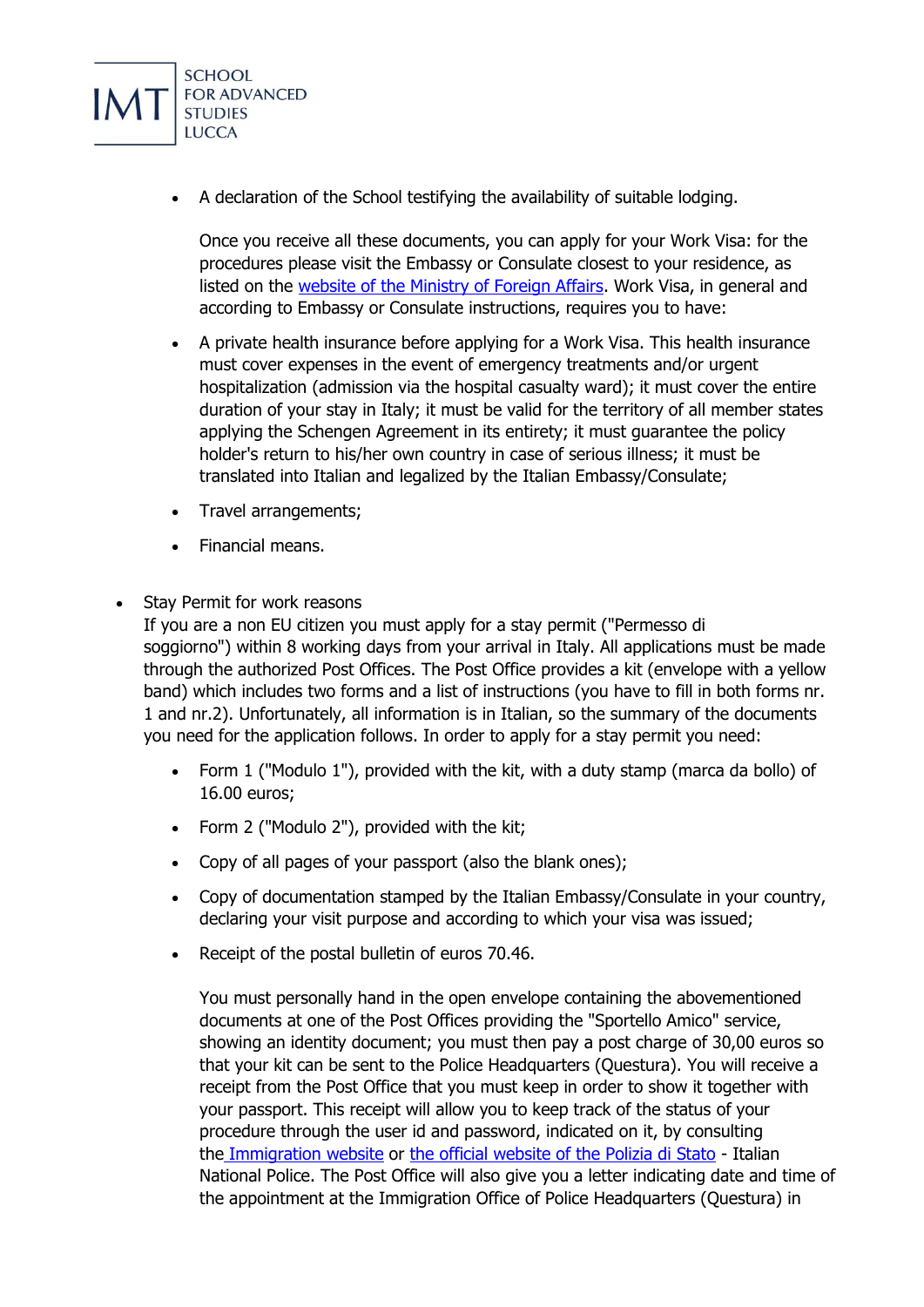

A declaration of the School testifying the availability of suitable lodging.

Once you receive all these documents, you can apply for your Work Visa: for the procedures please visit the Embassy or Consulate closest to your residence, as listed on the [website of the Ministry of Foreign Affairs.](http://www.esteri.it/MAE/EN/Ministero/LaReteDiplomatica/Ambasciate/default.htm) Work Visa, in general and according to Embassy or Consulate instructions, requires you to have:

- A private health insurance before applying for a Work Visa. This health insurance must cover expenses in the event of emergency treatments and/or urgent hospitalization (admission via the hospital casualty ward); it must cover the entire duration of your stay in Italy; it must be valid for the territory of all member states applying the Schengen Agreement in its entirety; it must guarantee the policy holder's return to his/her own country in case of serious illness; it must be translated into Italian and legalized by the Italian Embassy/Consulate;
- Travel arrangements;
- Financial means.
- Stay Permit for work reasons

If you are a non EU citizen you must apply for a stay permit ("Permesso di soggiorno") within 8 working days from your arrival in Italy. All applications must be made through the authorized Post Offices. The Post Office provides a kit (envelope with a yellow band) which includes two forms and a list of instructions (you have to fill in both forms nr. 1 and nr.2). Unfortunately, all information is in Italian, so the summary of the documents you need for the application follows. In order to apply for a stay permit you need:

- Form 1 ("Modulo 1"), provided with the kit, with a duty stamp (marca da bollo) of 16.00 euros;
- Form 2 ("Modulo 2"), provided with the kit;
- Copy of all pages of your passport (also the blank ones);
- Copy of documentation stamped by the Italian Embassy/Consulate in your country, declaring your visit purpose and according to which your visa was issued;
- Receipt of the postal bulletin of euros 70.46.

You must personally hand in the open envelope containing the abovementioned documents at one of the Post Offices providing the "Sportello Amico" service, showing an identity document; you must then pay a post charge of 30,00 euros so that your kit can be sent to the Police Headquarters (Questura). You will receive a receipt from the Post Office that you must keep in order to show it together with your passport. This receipt will allow you to keep track of the status of your procedure through the user id and password, indicated on it, by consulting the [Immigration website](http://www.portaleimmigrazione.it/) or [the official website of the](http://www.poliziadistato.it/articolo/10619-English) Polizia di Stato - Italian National Police. The Post Office will also give you a letter indicating date and time of the appointment at the Immigration Office of Police Headquarters (Questura) in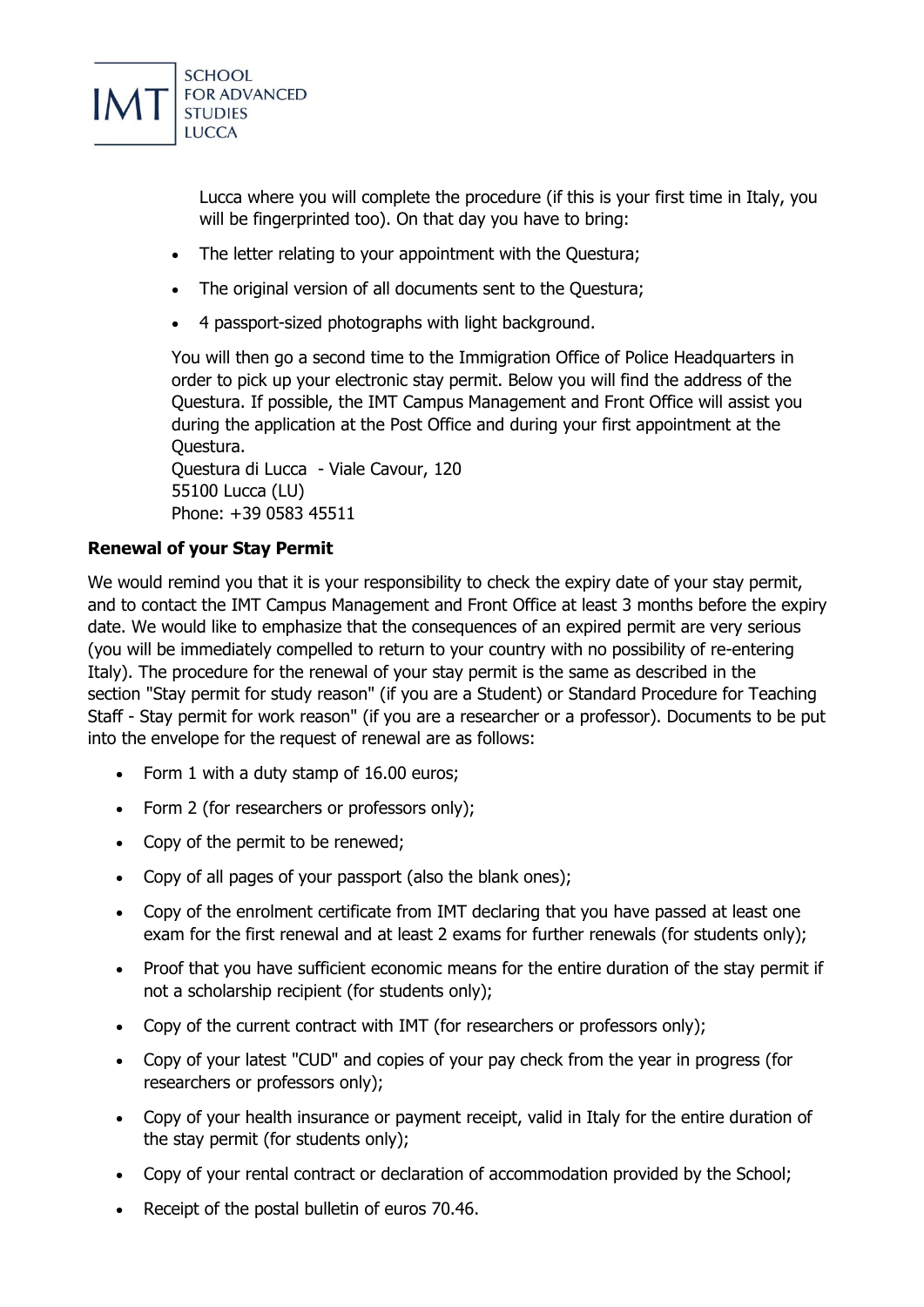

Lucca where you will complete the procedure (if this is your first time in Italy, you will be fingerprinted too). On that day you have to bring:

- The letter relating to your appointment with the Questura;
- The original version of all documents sent to the Questura;
- 4 passport-sized photographs with light background.

You will then go a second time to the Immigration Office of Police Headquarters in order to pick up your electronic stay permit. Below you will find the address of the Questura. If possible, the IMT Campus Management and Front Office will assist you during the application at the Post Office and during your first appointment at the Questura.

Questura di Lucca - Viale Cavour, 120 55100 Lucca (LU) Phone: +39 0583 45511

# **Renewal of your Stay Permit**

We would remind you that it is your responsibility to check the expiry date of your stay permit, and to contact the IMT Campus Management and Front Office at least 3 months before the expiry date. We would like to emphasize that the consequences of an expired permit are very serious (you will be immediately compelled to return to your country with no possibility of re-entering Italy). The procedure for the renewal of your stay permit is the same as described in the section "Stay permit for study reason" (if you are a Student) or Standard Procedure for Teaching Staff - Stay permit for work reason" (if you are a researcher or a professor). Documents to be put into the envelope for the request of renewal are as follows:

- Form 1 with a duty stamp of 16.00 euros;
- Form 2 (for researchers or professors only);
- Copy of the permit to be renewed;
- Copy of all pages of your passport (also the blank ones);
- Copy of the enrolment certificate from IMT declaring that you have passed at least one exam for the first renewal and at least 2 exams for further renewals (for students only);
- Proof that you have sufficient economic means for the entire duration of the stay permit if not a scholarship recipient (for students only);
- Copy of the current contract with IMT (for researchers or professors only);
- Copy of your latest "CUD" and copies of your pay check from the year in progress (for researchers or professors only);
- Copy of your health insurance or payment receipt, valid in Italy for the entire duration of the stay permit (for students only);
- Copy of your rental contract or declaration of accommodation provided by the School;
- Receipt of the postal bulletin of euros 70.46.